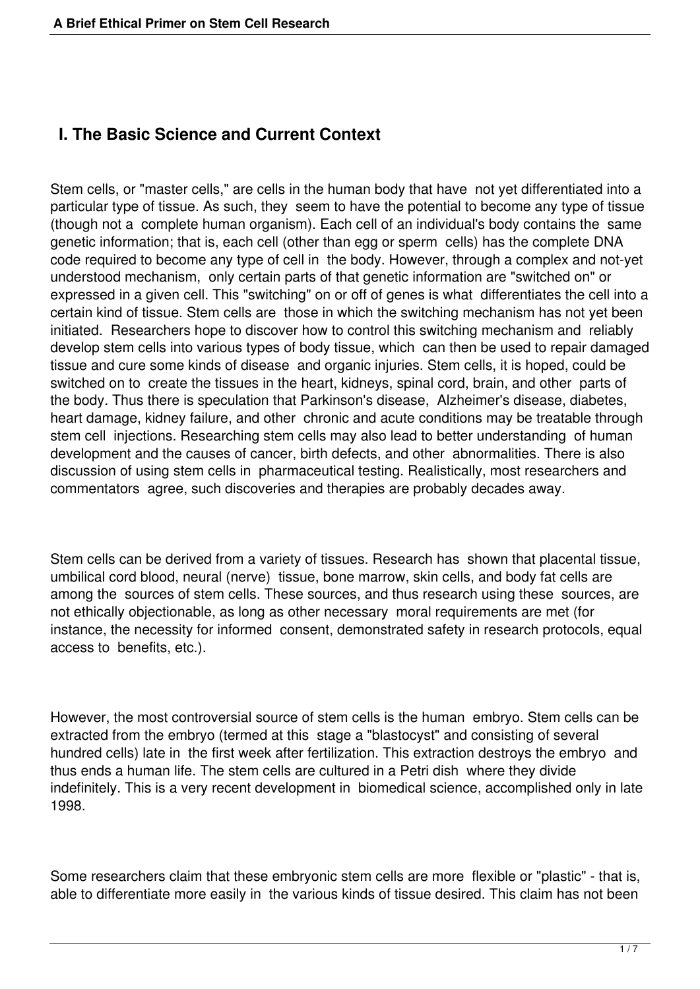# **I. The Basic Science and Current Context**

Stem cells, or "master cells," are cells in the human body that have not yet differentiated into a particular type of tissue. As such, they seem to have the potential to become any type of tissue (though not a complete human organism). Each cell of an individual's body contains the same genetic information; that is, each cell (other than egg or sperm cells) has the complete DNA code required to become any type of cell in the body. However, through a complex and not-yet understood mechanism, only certain parts of that genetic information are "switched on" or expressed in a given cell. This "switching" on or off of genes is what differentiates the cell into a certain kind of tissue. Stem cells are those in which the switching mechanism has not yet been initiated. Researchers hope to discover how to control this switching mechanism and reliably develop stem cells into various types of body tissue, which can then be used to repair damaged tissue and cure some kinds of disease and organic injuries. Stem cells, it is hoped, could be switched on to create the tissues in the heart, kidneys, spinal cord, brain, and other parts of the body. Thus there is speculation that Parkinson's disease, Alzheimer's disease, diabetes, heart damage, kidney failure, and other chronic and acute conditions may be treatable through stem cell injections. Researching stem cells may also lead to better understanding of human development and the causes of cancer, birth defects, and other abnormalities. There is also discussion of using stem cells in pharmaceutical testing. Realistically, most researchers and commentators agree, such discoveries and therapies are probably decades away.

Stem cells can be derived from a variety of tissues. Research has shown that placental tissue, umbilical cord blood, neural (nerve) tissue, bone marrow, skin cells, and body fat cells are among the sources of stem cells. These sources, and thus research using these sources, are not ethically objectionable, as long as other necessary moral requirements are met (for instance, the necessity for informed consent, demonstrated safety in research protocols, equal access to benefits, etc.).

However, the most controversial source of stem cells is the human embryo. Stem cells can be extracted from the embryo (termed at this stage a "blastocyst" and consisting of several hundred cells) late in the first week after fertilization. This extraction destroys the embryo and thus ends a human life. The stem cells are cultured in a Petri dish where they divide indefinitely. This is a very recent development in biomedical science, accomplished only in late 1998.

Some researchers claim that these embryonic stem cells are more flexible or "plastic" - that is, able to differentiate more easily in the various kinds of tissue desired. This claim has not been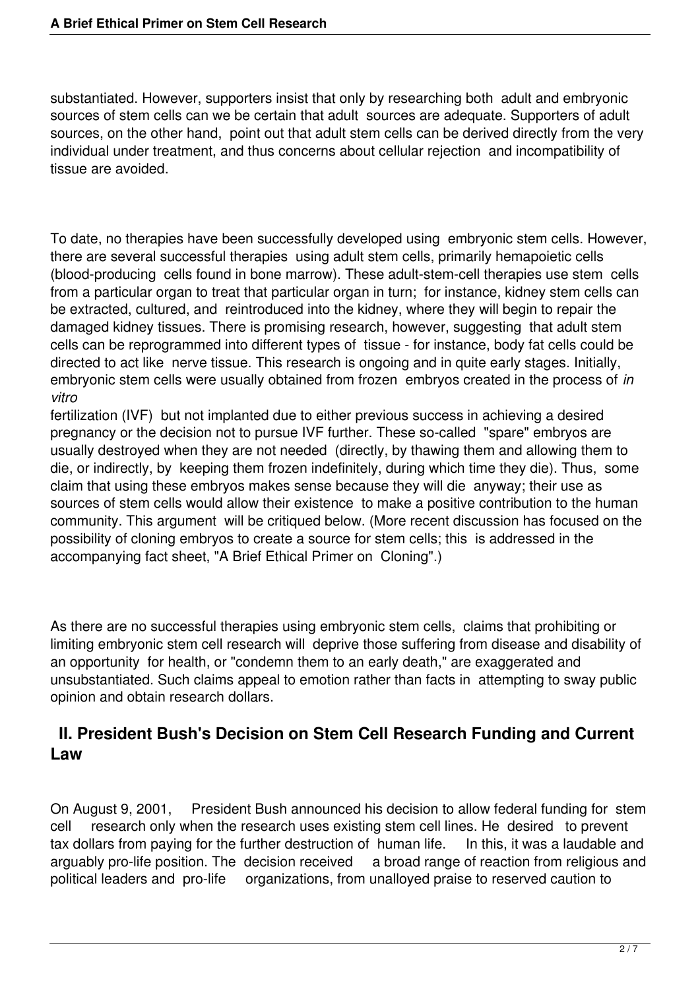substantiated. However, supporters insist that only by researching both adult and embryonic sources of stem cells can we be certain that adult sources are adequate. Supporters of adult sources, on the other hand, point out that adult stem cells can be derived directly from the very individual under treatment, and thus concerns about cellular rejection and incompatibility of tissue are avoided.

To date, no therapies have been successfully developed using embryonic stem cells. However, there are several successful therapies using adult stem cells, primarily hemapoietic cells (blood-producing cells found in bone marrow). These adult-stem-cell therapies use stem cells from a particular organ to treat that particular organ in turn; for instance, kidney stem cells can be extracted, cultured, and reintroduced into the kidney, where they will begin to repair the damaged kidney tissues. There is promising research, however, suggesting that adult stem cells can be reprogrammed into different types of tissue - for instance, body fat cells could be directed to act like nerve tissue. This research is ongoing and in quite early stages. Initially, embryonic stem cells were usually obtained from frozen embryos created in the process of *in vitro*

fertilization (IVF) but not implanted due to either previous success in achieving a desired pregnancy or the decision not to pursue IVF further. These so-called "spare" embryos are usually destroyed when they are not needed (directly, by thawing them and allowing them to die, or indirectly, by keeping them frozen indefinitely, during which time they die). Thus, some claim that using these embryos makes sense because they will die anyway; their use as sources of stem cells would allow their existence to make a positive contribution to the human community. This argument will be critiqued below. (More recent discussion has focused on the possibility of cloning embryos to create a source for stem cells; this is addressed in the accompanying fact sheet, "A Brief Ethical Primer on Cloning".)

As there are no successful therapies using embryonic stem cells, claims that prohibiting or limiting embryonic stem cell research will deprive those suffering from disease and disability of an opportunity for health, or "condemn them to an early death," are exaggerated and unsubstantiated. Such claims appeal to emotion rather than facts in attempting to sway public opinion and obtain research dollars.

## **II. President Bush's Decision on Stem Cell Research Funding and Current Law**

On August 9, 2001, President Bush announced his decision to allow federal funding for stem cell research only when the research uses existing stem cell lines. He desired to prevent tax dollars from paying for the further destruction of human life. In this, it was a laudable and arguably pro-life position. The decision received a broad range of reaction from religious and arguably pro-life position. The decision received political leaders and pro-life organizations, from unalloyed praise to reserved caution to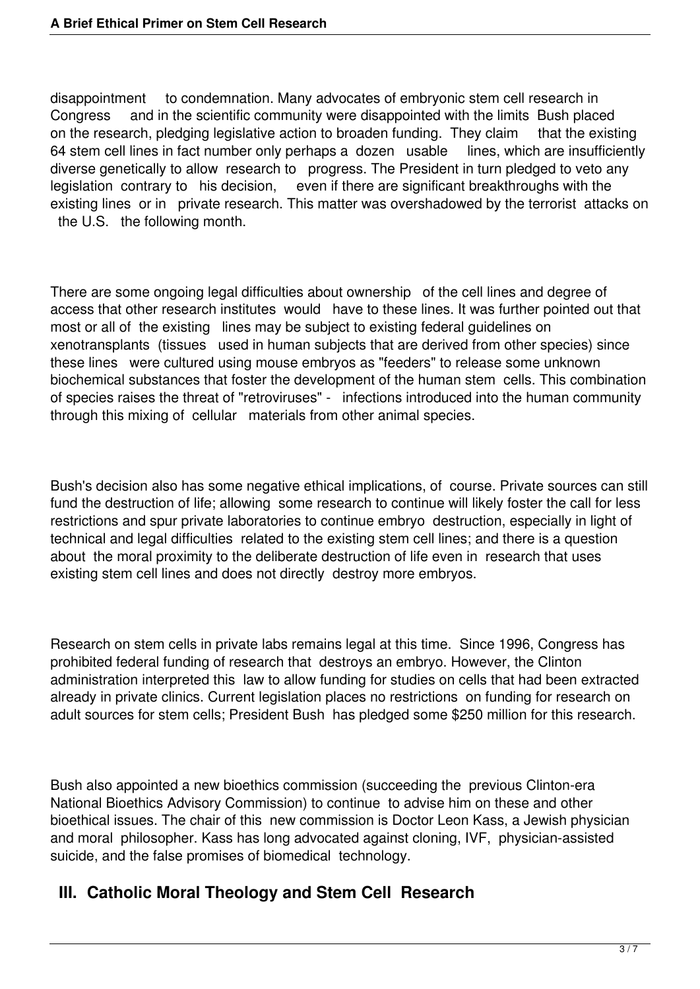disappointment to condemnation. Many advocates of embryonic stem cell research in Congress and in the scientific community were disappointed with the limits Bush placed on the research, pledging legislative action to broaden funding. They claim that the existing 64 stem cell lines in fact number only perhaps a dozen usable lines, which are insufficiently diverse genetically to allow research to progress. The President in turn pledged to veto any legislation contrary to his decision, even if there are significant breakthroughs with the existing lines or in private research. This matter was overshadowed by the terrorist attacks on the U.S. the following month.

There are some ongoing legal difficulties about ownership of the cell lines and degree of access that other research institutes would have to these lines. It was further pointed out that most or all of the existing lines may be subject to existing federal guidelines on xenotransplants (tissues used in human subjects that are derived from other species) since these lines were cultured using mouse embryos as "feeders" to release some unknown biochemical substances that foster the development of the human stem cells. This combination of species raises the threat of "retroviruses" - infections introduced into the human community through this mixing of cellular materials from other animal species.

Bush's decision also has some negative ethical implications, of course. Private sources can still fund the destruction of life; allowing some research to continue will likely foster the call for less restrictions and spur private laboratories to continue embryo destruction, especially in light of technical and legal difficulties related to the existing stem cell lines; and there is a question about the moral proximity to the deliberate destruction of life even in research that uses existing stem cell lines and does not directly destroy more embryos.

Research on stem cells in private labs remains legal at this time. Since 1996, Congress has prohibited federal funding of research that destroys an embryo. However, the Clinton administration interpreted this law to allow funding for studies on cells that had been extracted already in private clinics. Current legislation places no restrictions on funding for research on adult sources for stem cells; President Bush has pledged some \$250 million for this research.

Bush also appointed a new bioethics commission (succeeding the previous Clinton-era National Bioethics Advisory Commission) to continue to advise him on these and other bioethical issues. The chair of this new commission is Doctor Leon Kass, a Jewish physician and moral philosopher. Kass has long advocated against cloning, IVF, physician-assisted suicide, and the false promises of biomedical technology.

#### **III. Catholic Moral Theology and Stem Cell Research**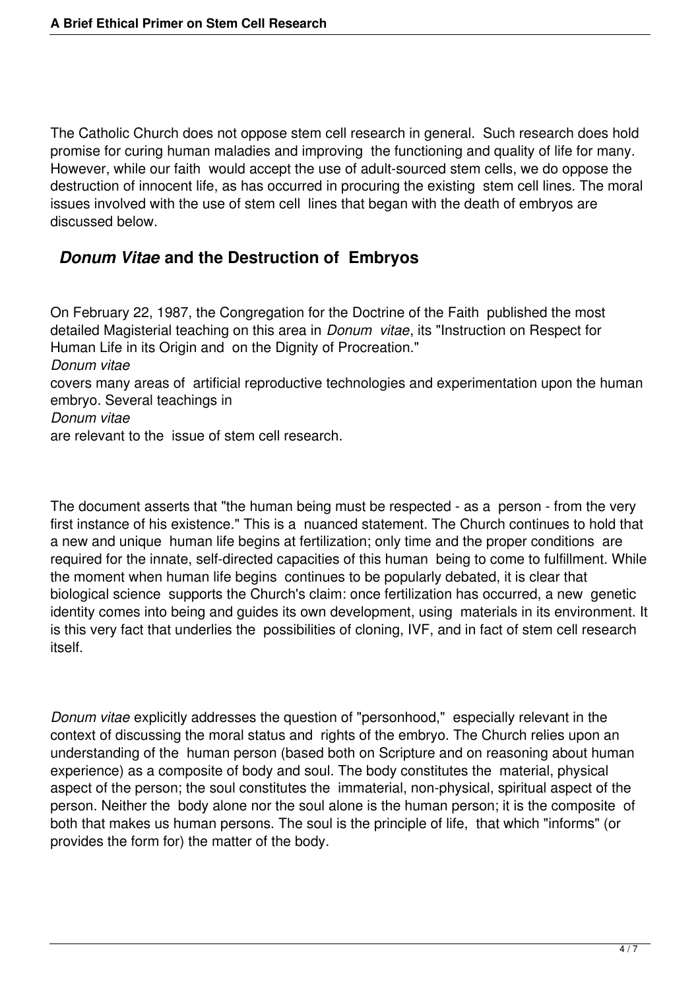The Catholic Church does not oppose stem cell research in general. Such research does hold promise for curing human maladies and improving the functioning and quality of life for many. However, while our faith would accept the use of adult-sourced stem cells, we do oppose the destruction of innocent life, as has occurred in procuring the existing stem cell lines. The moral issues involved with the use of stem cell lines that began with the death of embryos are discussed below.

## *Donum Vitae* **and the Destruction of Embryos**

On February 22, 1987, the Congregation for the Doctrine of the Faith published the most detailed Magisterial teaching on this area in *Donum vitae*, its "Instruction on Respect for Human Life in its Origin and on the Dignity of Procreation." *Donum vitae* covers many areas of artificial reproductive technologies and experimentation upon the human embryo. Several teachings in *Donum vitae* are relevant to the issue of stem cell research.

The document asserts that "the human being must be respected - as a person - from the very first instance of his existence." This is a nuanced statement. The Church continues to hold that a new and unique human life begins at fertilization; only time and the proper conditions are required for the innate, self-directed capacities of this human being to come to fulfillment. While the moment when human life begins continues to be popularly debated, it is clear that biological science supports the Church's claim: once fertilization has occurred, a new genetic identity comes into being and guides its own development, using materials in its environment. It is this very fact that underlies the possibilities of cloning, IVF, and in fact of stem cell research itself.

*Donum vitae* explicitly addresses the question of "personhood," especially relevant in the context of discussing the moral status and rights of the embryo. The Church relies upon an understanding of the human person (based both on Scripture and on reasoning about human experience) as a composite of body and soul. The body constitutes the material, physical aspect of the person; the soul constitutes the immaterial, non-physical, spiritual aspect of the person. Neither the body alone nor the soul alone is the human person; it is the composite of both that makes us human persons. The soul is the principle of life, that which "informs" (or provides the form for) the matter of the body.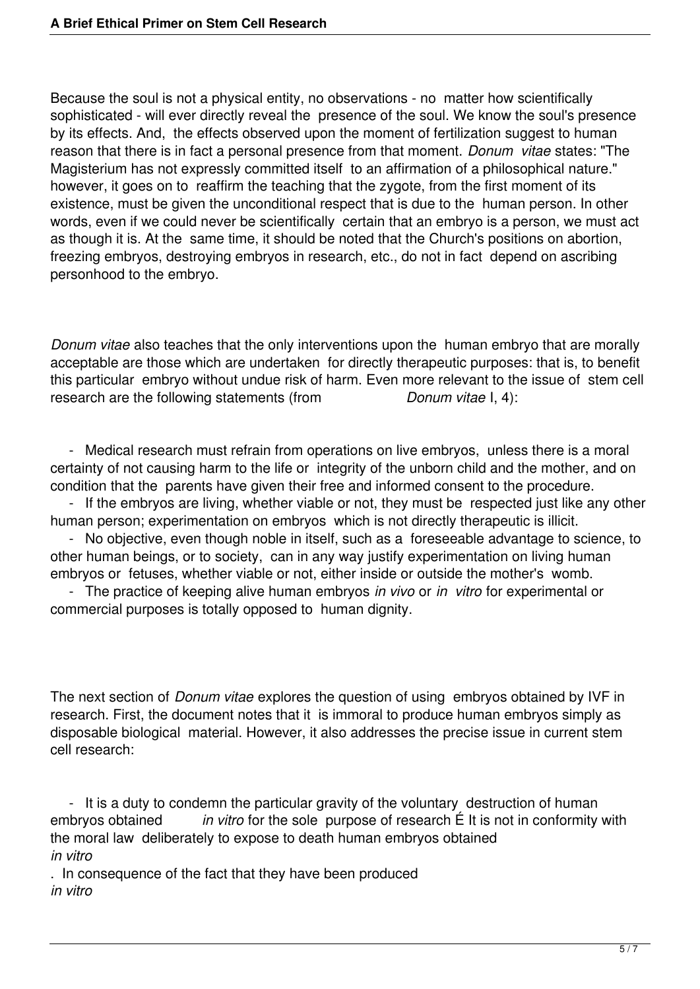Because the soul is not a physical entity, no observations - no matter how scientifically sophisticated - will ever directly reveal the presence of the soul. We know the soul's presence by its effects. And, the effects observed upon the moment of fertilization suggest to human reason that there is in fact a personal presence from that moment. *Donum vitae* states: "The Magisterium has not expressly committed itself to an affirmation of a philosophical nature." however, it goes on to reaffirm the teaching that the zygote, from the first moment of its existence, must be given the unconditional respect that is due to the human person. In other words, even if we could never be scientifically certain that an embryo is a person, we must act as though it is. At the same time, it should be noted that the Church's positions on abortion, freezing embryos, destroying embryos in research, etc., do not in fact depend on ascribing personhood to the embryo.

*Donum vitae* also teaches that the only interventions upon the human embryo that are morally acceptable are those which are undertaken for directly therapeutic purposes: that is, to benefit this particular embryo without undue risk of harm. Even more relevant to the issue of stem cell research are the following statements (from *Donum vitae I, 4):* 

 - Medical research must refrain from operations on live embryos, unless there is a moral certainty of not causing harm to the life or integrity of the unborn child and the mother, and on condition that the parents have given their free and informed consent to the procedure.

 - If the embryos are living, whether viable or not, they must be respected just like any other human person; experimentation on embryos which is not directly therapeutic is illicit.

 - No objective, even though noble in itself, such as a foreseeable advantage to science, to other human beings, or to society, can in any way justify experimentation on living human embryos or fetuses, whether viable or not, either inside or outside the mother's womb.

 - The practice of keeping alive human embryos *in vivo* or *in vitro* for experimental or commercial purposes is totally opposed to human dignity.

The next section of *Donum vitae* explores the question of using embryos obtained by IVF in research. First, the document notes that it is immoral to produce human embryos simply as disposable biological material. However, it also addresses the precise issue in current stem cell research:

 - It is a duty to condemn the particular gravity of the voluntary destruction of human embryos obtained *in vitro* for the sole purpose of research É It is not in conformity with the moral law deliberately to expose to death human embryos obtained *in vitro*

. In consequence of the fact that they have been produced *in vitro*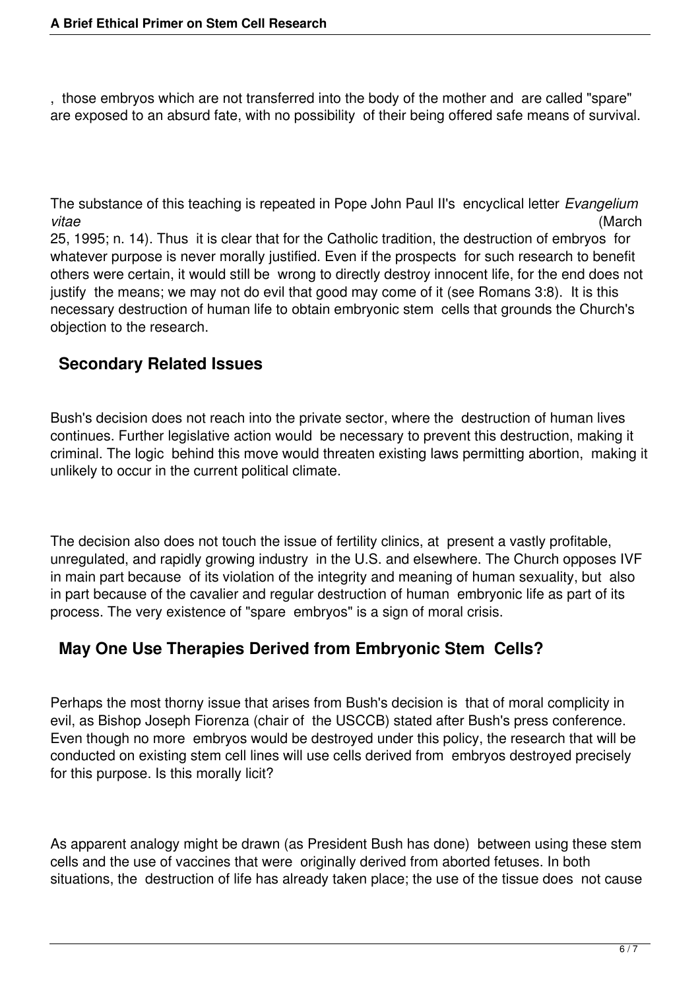, those embryos which are not transferred into the body of the mother and are called "spare" are exposed to an absurd fate, with no possibility of their being offered safe means of survival.

The substance of this teaching is repeated in Pope John Paul II's encyclical letter *Evangelium vitae* (March

25, 1995; n. 14). Thus it is clear that for the Catholic tradition, the destruction of embryos for whatever purpose is never morally justified. Even if the prospects for such research to benefit others were certain, it would still be wrong to directly destroy innocent life, for the end does not justify the means; we may not do evil that good may come of it (see Romans 3:8). It is this necessary destruction of human life to obtain embryonic stem cells that grounds the Church's objection to the research.

# **Secondary Related Issues**

Bush's decision does not reach into the private sector, where the destruction of human lives continues. Further legislative action would be necessary to prevent this destruction, making it criminal. The logic behind this move would threaten existing laws permitting abortion, making it unlikely to occur in the current political climate.

The decision also does not touch the issue of fertility clinics, at present a vastly profitable, unregulated, and rapidly growing industry in the U.S. and elsewhere. The Church opposes IVF in main part because of its violation of the integrity and meaning of human sexuality, but also in part because of the cavalier and regular destruction of human embryonic life as part of its process. The very existence of "spare embryos" is a sign of moral crisis.

# **May One Use Therapies Derived from Embryonic Stem Cells?**

Perhaps the most thorny issue that arises from Bush's decision is that of moral complicity in evil, as Bishop Joseph Fiorenza (chair of the USCCB) stated after Bush's press conference. Even though no more embryos would be destroyed under this policy, the research that will be conducted on existing stem cell lines will use cells derived from embryos destroyed precisely for this purpose. Is this morally licit?

As apparent analogy might be drawn (as President Bush has done) between using these stem cells and the use of vaccines that were originally derived from aborted fetuses. In both situations, the destruction of life has already taken place; the use of the tissue does not cause